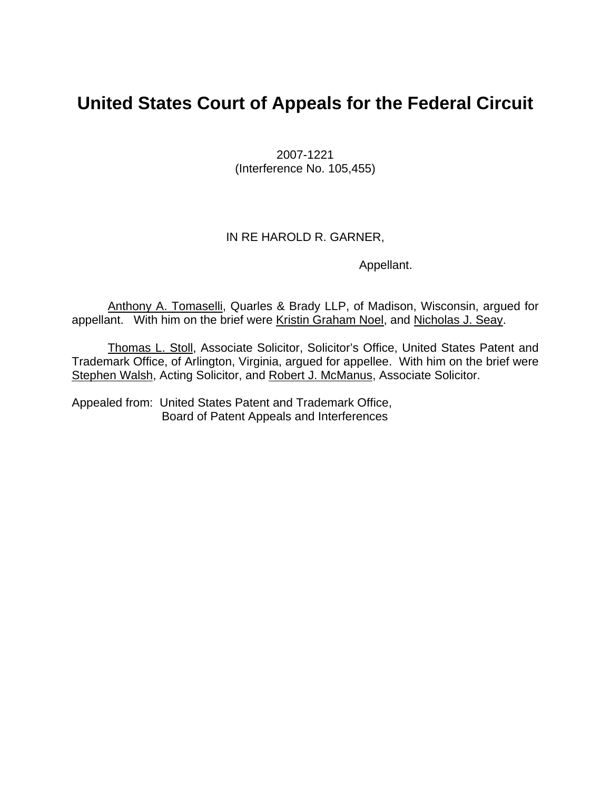# **United States Court of Appeals for the Federal Circuit**

2007-1221 (Interference No. 105,455)

### IN RE HAROLD R. GARNER,

Appellant.

Anthony A. Tomaselli, Quarles & Brady LLP, of Madison, Wisconsin, argued for appellant. With him on the brief were Kristin Graham Noel, and Nicholas J. Seay.

Thomas L. Stoll, Associate Solicitor, Solicitor's Office, United States Patent and Trademark Office, of Arlington, Virginia, argued for appellee. With him on the brief were Stephen Walsh, Acting Solicitor, and Robert J. McManus, Associate Solicitor.

Appealed from: United States Patent and Trademark Office, Board of Patent Appeals and Interferences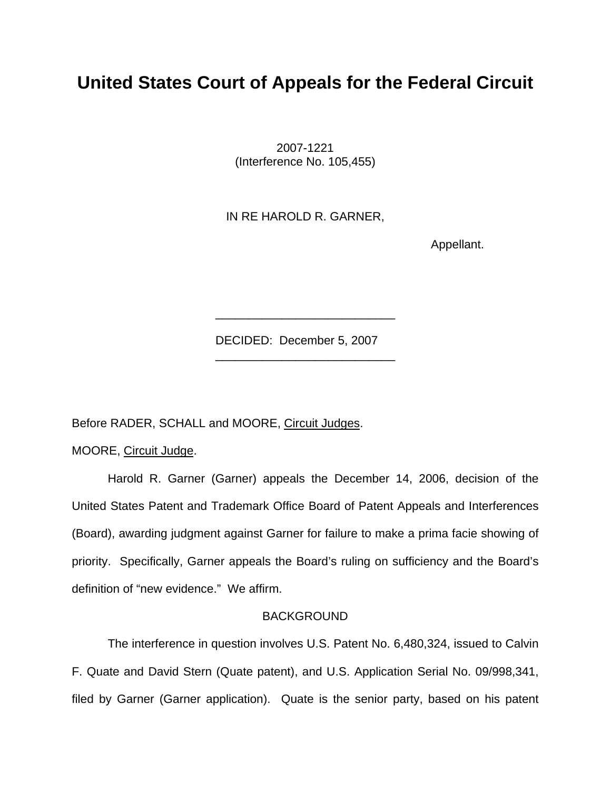## **United States Court of Appeals for the Federal Circuit**

2007-1221 (Interference No. 105,455)

IN RE HAROLD R. GARNER,

Appellant.

DECIDED: December 5, 2007

 $\frac{1}{\sqrt{2}}$  ,  $\frac{1}{\sqrt{2}}$  ,  $\frac{1}{\sqrt{2}}$  ,  $\frac{1}{\sqrt{2}}$  ,  $\frac{1}{\sqrt{2}}$  ,  $\frac{1}{\sqrt{2}}$  ,  $\frac{1}{\sqrt{2}}$  ,  $\frac{1}{\sqrt{2}}$  ,  $\frac{1}{\sqrt{2}}$  ,  $\frac{1}{\sqrt{2}}$  ,  $\frac{1}{\sqrt{2}}$  ,  $\frac{1}{\sqrt{2}}$  ,  $\frac{1}{\sqrt{2}}$  ,  $\frac{1}{\sqrt{2}}$  ,  $\frac{1}{\sqrt{2}}$ 

 $\frac{1}{2}$  ,  $\frac{1}{2}$  ,  $\frac{1}{2}$  ,  $\frac{1}{2}$  ,  $\frac{1}{2}$  ,  $\frac{1}{2}$  ,  $\frac{1}{2}$  ,  $\frac{1}{2}$  ,  $\frac{1}{2}$  ,  $\frac{1}{2}$  ,  $\frac{1}{2}$  ,  $\frac{1}{2}$  ,  $\frac{1}{2}$  ,  $\frac{1}{2}$  ,  $\frac{1}{2}$  ,  $\frac{1}{2}$  ,  $\frac{1}{2}$  ,  $\frac{1}{2}$  ,  $\frac{1$ 

Before RADER, SCHALL and MOORE, Circuit Judges.

MOORE, Circuit Judge.

Harold R. Garner (Garner) appeals the December 14, 2006, decision of the United States Patent and Trademark Office Board of Patent Appeals and Interferences (Board), awarding judgment against Garner for failure to make a prima facie showing of priority. Specifically, Garner appeals the Board's ruling on sufficiency and the Board's definition of "new evidence." We affirm.

#### **BACKGROUND**

The interference in question involves U.S. Patent No. 6,480,324, issued to Calvin F. Quate and David Stern (Quate patent), and U.S. Application Serial No. 09/998,341, filed by Garner (Garner application). Quate is the senior party, based on his patent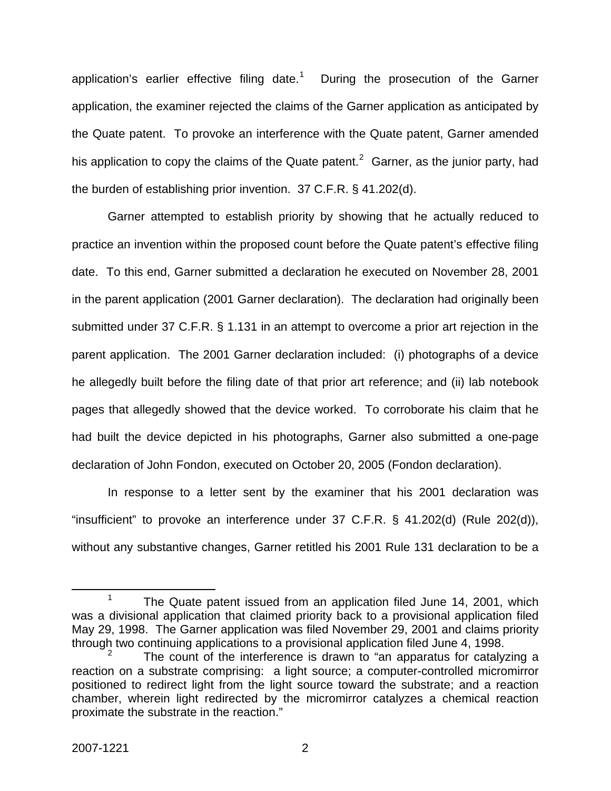application's earlier effective filing date.<sup>[1](#page-2-0)</sup> During the prosecution of the Garner application, the examiner rejected the claims of the Garner application as anticipated by the Quate patent. To provoke an interference with the Quate patent, Garner amended his application to copy the claims of the Quate patent.<sup>[2](#page-2-1)</sup> Garner, as the junior party, had the burden of establishing prior invention. 37 C.F.R. § 41.202(d).

Garner attempted to establish priority by showing that he actually reduced to practice an invention within the proposed count before the Quate patent's effective filing date. To this end, Garner submitted a declaration he executed on November 28, 2001 in the parent application (2001 Garner declaration). The declaration had originally been submitted under 37 C.F.R. § 1.131 in an attempt to overcome a prior art rejection in the parent application. The 2001 Garner declaration included: (i) photographs of a device he allegedly built before the filing date of that prior art reference; and (ii) lab notebook pages that allegedly showed that the device worked. To corroborate his claim that he had built the device depicted in his photographs, Garner also submitted a one-page declaration of John Fondon, executed on October 20, 2005 (Fondon declaration).

In response to a letter sent by the examiner that his 2001 declaration was "insufficient" to provoke an interference under 37 C.F.R. § 41.202(d) (Rule 202(d)), without any substantive changes, Garner retitled his 2001 Rule 131 declaration to be a

<span id="page-2-0"></span> <sup>1</sup> <sup>1</sup> The Quate patent issued from an application filed June 14, 2001, which was a divisional application that claimed priority back to a provisional application filed May 29, 1998. The Garner application was filed November 29, 2001 and claims priority through two continuing applications to a provisional application filed June 4, 1998.

<span id="page-2-1"></span><sup>2</sup> The count of the interference is drawn to "an apparatus for catalyzing a reaction on a substrate comprising: a light source; a computer-controlled micromirror positioned to redirect light from the light source toward the substrate; and a reaction chamber, wherein light redirected by the micromirror catalyzes a chemical reaction proximate the substrate in the reaction."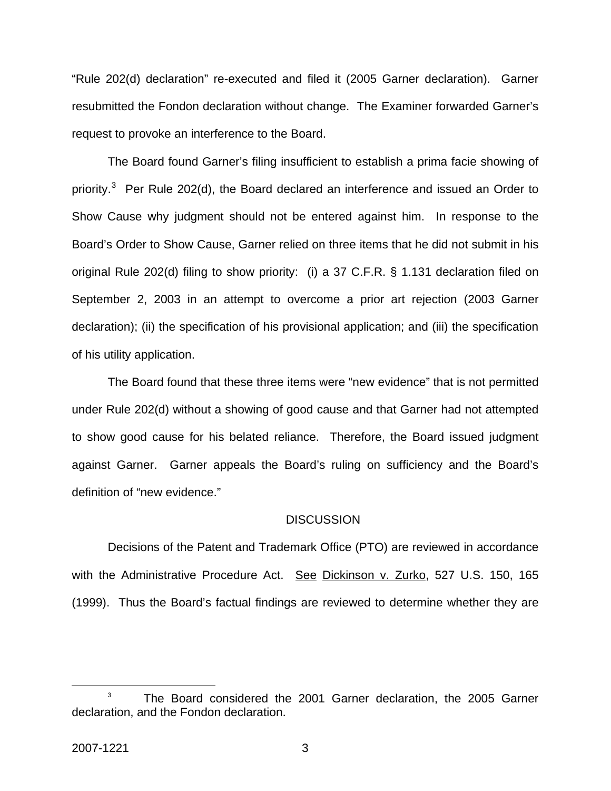"Rule 202(d) declaration" re-executed and filed it (2005 Garner declaration). Garner resubmitted the Fondon declaration without change. The Examiner forwarded Garner's request to provoke an interference to the Board.

The Board found Garner's filing insufficient to establish a prima facie showing of priority.<sup>[3](#page-3-0)</sup> Per Rule 202(d), the Board declared an interference and issued an Order to Show Cause why judgment should not be entered against him. In response to the Board's Order to Show Cause, Garner relied on three items that he did not submit in his original Rule 202(d) filing to show priority: (i) a 37 C.F.R. § 1.131 declaration filed on September 2, 2003 in an attempt to overcome a prior art rejection (2003 Garner declaration); (ii) the specification of his provisional application; and (iii) the specification of his utility application.

The Board found that these three items were "new evidence" that is not permitted under Rule 202(d) without a showing of good cause and that Garner had not attempted to show good cause for his belated reliance. Therefore, the Board issued judgment against Garner. Garner appeals the Board's ruling on sufficiency and the Board's definition of "new evidence."

#### **DISCUSSION**

Decisions of the Patent and Trademark Office (PTO) are reviewed in accordance with the Administrative Procedure Act. See Dickinson v. Zurko, 527 U.S. 150, 165 (1999). Thus the Board's factual findings are reviewed to determine whether they are

<span id="page-3-0"></span> $\overline{\phantom{a}}$  3  $3$  The Board considered the 2001 Garner declaration, the 2005 Garner declaration, and the Fondon declaration.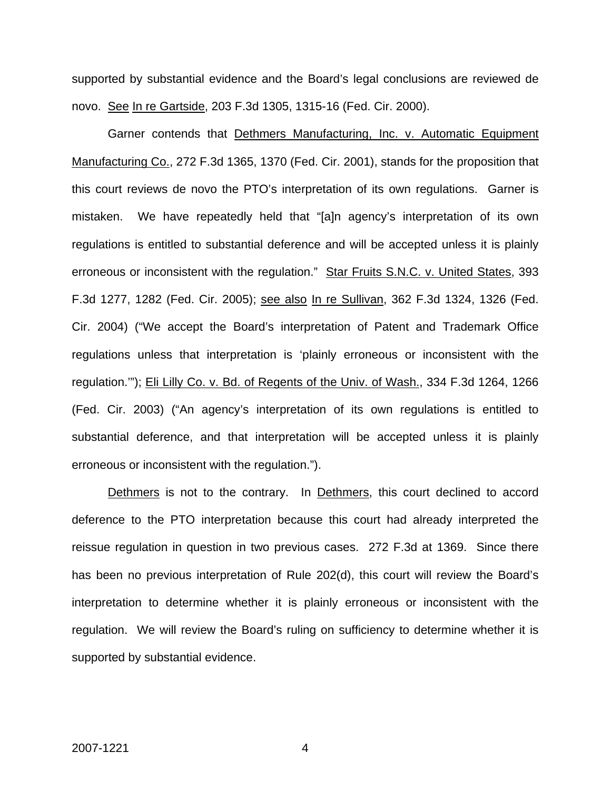supported by substantial evidence and the Board's legal conclusions are reviewed de novo. See In re Gartside, 203 F.3d 1305, 1315-16 (Fed. Cir. 2000).

Garner contends that Dethmers Manufacturing, Inc. v. Automatic Equipment Manufacturing Co., 272 F.3d 1365, 1370 (Fed. Cir. 2001), stands for the proposition that this court reviews de novo the PTO's interpretation of its own regulations. Garner is mistaken. We have repeatedly held that "[a]n agency's interpretation of its own regulations is entitled to substantial deference and will be accepted unless it is plainly erroneous or inconsistent with the regulation." Star Fruits S.N.C. v. United States, 393 F.3d 1277, 1282 (Fed. Cir. 2005); see also In re Sullivan, 362 F.3d 1324, 1326 (Fed. Cir. 2004) ("We accept the Board's interpretation of Patent and Trademark Office regulations unless that interpretation is 'plainly erroneous or inconsistent with the regulation.'"); Eli Lilly Co. v. Bd. of Regents of the Univ. of Wash., 334 F.3d 1264, 1266 (Fed. Cir. 2003) ("An agency's interpretation of its own regulations is entitled to substantial deference, and that interpretation will be accepted unless it is plainly erroneous or inconsistent with the regulation.").

Dethmers is not to the contrary. In Dethmers, this court declined to accord deference to the PTO interpretation because this court had already interpreted the reissue regulation in question in two previous cases. 272 F.3d at 1369. Since there has been no previous interpretation of Rule 202(d), this court will review the Board's interpretation to determine whether it is plainly erroneous or inconsistent with the regulation. We will review the Board's ruling on sufficiency to determine whether it is supported by substantial evidence.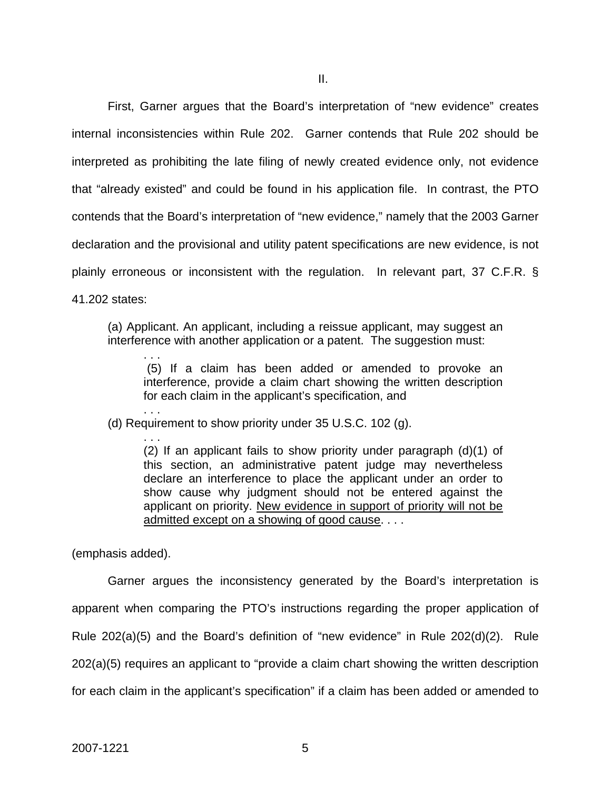First, Garner argues that the Board's interpretation of "new evidence" creates internal inconsistencies within Rule 202. Garner contends that Rule 202 should be interpreted as prohibiting the late filing of newly created evidence only, not evidence that "already existed" and could be found in his application file. In contrast, the PTO contends that the Board's interpretation of "new evidence," namely that the 2003 Garner declaration and the provisional and utility patent specifications are new evidence, is not plainly erroneous or inconsistent with the regulation. In relevant part, 37 C.F.R. § 41.202 states:

(a) Applicant. An applicant, including a reissue applicant, may suggest an interference with another application or a patent. The suggestion must:

 (5) If a claim has been added or amended to provoke an interference, provide a claim chart showing the written description for each claim in the applicant's specification, and

(d) Requirement to show priority under 35 U.S.C. 102 (g).

. . . (2) If an applicant fails to show priority under paragraph (d)(1) of this section, an administrative patent judge may nevertheless declare an interference to place the applicant under an order to show cause why judgment should not be entered against the applicant on priority. New evidence in support of priority will not be admitted except on a showing of good cause. . . .

(emphasis added).

. . .

. . .

Garner argues the inconsistency generated by the Board's interpretation is apparent when comparing the PTO's instructions regarding the proper application of Rule 202(a)(5) and the Board's definition of "new evidence" in Rule 202(d)(2). Rule 202(a)(5) requires an applicant to "provide a claim chart showing the written description for each claim in the applicant's specification" if a claim has been added or amended to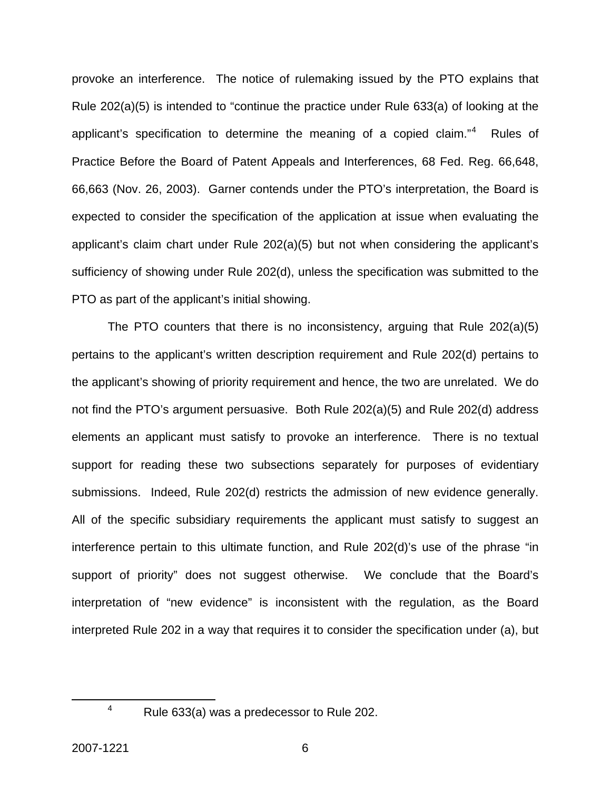provoke an interference. The notice of rulemaking issued by the PTO explains that Rule 202(a)(5) is intended to "continue the practice under Rule 633(a) of looking at the applicant's specification to determine the meaning of a copied claim."[4](#page-6-0) Rules of Practice Before the Board of Patent Appeals and Interferences, 68 Fed. Reg. 66,648, 66,663 (Nov. 26, 2003). Garner contends under the PTO's interpretation, the Board is expected to consider the specification of the application at issue when evaluating the applicant's claim chart under Rule 202(a)(5) but not when considering the applicant's sufficiency of showing under Rule 202(d), unless the specification was submitted to the PTO as part of the applicant's initial showing.

The PTO counters that there is no inconsistency, arguing that Rule 202(a)(5) pertains to the applicant's written description requirement and Rule 202(d) pertains to the applicant's showing of priority requirement and hence, the two are unrelated. We do not find the PTO's argument persuasive. Both Rule 202(a)(5) and Rule 202(d) address elements an applicant must satisfy to provoke an interference. There is no textual support for reading these two subsections separately for purposes of evidentiary submissions. Indeed, Rule 202(d) restricts the admission of new evidence generally. All of the specific subsidiary requirements the applicant must satisfy to suggest an interference pertain to this ultimate function, and Rule 202(d)'s use of the phrase "in support of priority" does not suggest otherwise. We conclude that the Board's interpretation of "new evidence" is inconsistent with the regulation, as the Board interpreted Rule 202 in a way that requires it to consider the specification under (a), but

<span id="page-6-0"></span>4

<sup>&</sup>lt;sup>4</sup> Rule 633(a) was a predecessor to Rule 202.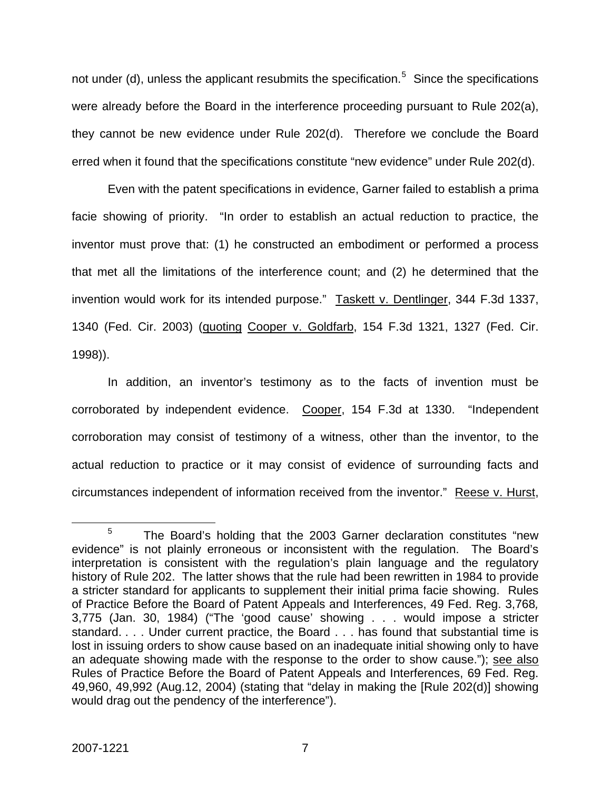not under (d), unless the applicant resubmits the specification.<sup>[5](#page-7-0)</sup> Since the specifications were already before the Board in the interference proceeding pursuant to Rule 202(a), they cannot be new evidence under Rule 202(d). Therefore we conclude the Board erred when it found that the specifications constitute "new evidence" under Rule 202(d).

Even with the patent specifications in evidence, Garner failed to establish a prima facie showing of priority. "In order to establish an actual reduction to practice, the inventor must prove that: (1) he constructed an embodiment or performed a process that met all the limitations of the interference count; and (2) he determined that the invention would work for its intended purpose." Taskett v. Dentlinger, 344 F.3d 1337, 1340 (Fed. Cir. 2003) (quoting Cooper v. Goldfarb, 154 F.3d 1321, 1327 (Fed. Cir. 1998)).

In addition, an inventor's testimony as to the facts of invention must be corroborated by independent evidence. Cooper, 154 F.3d at 1330. "Independent corroboration may consist of testimony of a witness, other than the inventor, to the actual reduction to practice or it may consist of evidence of surrounding facts and circumstances independent of information received from the inventor." Reese v. Hurst,

<span id="page-7-0"></span> $\frac{1}{5}$ <sup>5</sup> The Board's holding that the 2003 Garner declaration constitutes "new evidence" is not plainly erroneous or inconsistent with the regulation. The Board's interpretation is consistent with the regulation's plain language and the regulatory history of Rule 202. The latter shows that the rule had been rewritten in 1984 to provide a stricter standard for applicants to supplement their initial prima facie showing. Rules of Practice Before the Board of Patent Appeals and Interferences, 49 Fed. Reg. 3,768*,*  3,775 (Jan. 30, 1984) ("The 'good cause' showing . . . would impose a stricter standard. . . . Under current practice, the Board . . . has found that substantial time is lost in issuing orders to show cause based on an inadequate initial showing only to have an adequate showing made with the response to the order to show cause."); see also Rules of Practice Before the Board of Patent Appeals and Interferences, 69 Fed. Reg. 49,960, 49,992 (Aug.12, 2004) (stating that "delay in making the [Rule 202(d)] showing would drag out the pendency of the interference").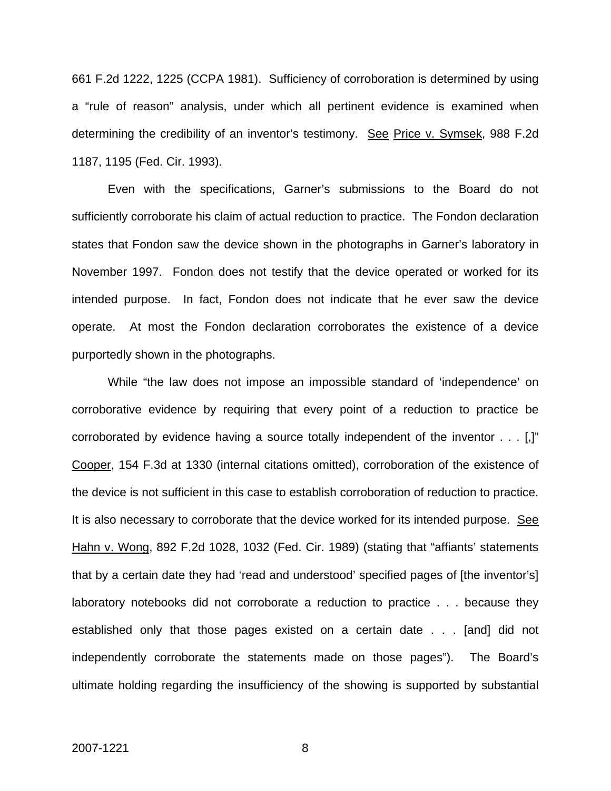661 F.2d 1222, 1225 (CCPA 1981). Sufficiency of corroboration is determined by using a "rule of reason" analysis, under which all pertinent evidence is examined when determining the credibility of an inventor's testimony. See Price v. Symsek, 988 F.2d 1187, 1195 (Fed. Cir. 1993).

Even with the specifications, Garner's submissions to the Board do not sufficiently corroborate his claim of actual reduction to practice. The Fondon declaration states that Fondon saw the device shown in the photographs in Garner's laboratory in November 1997. Fondon does not testify that the device operated or worked for its intended purpose. In fact, Fondon does not indicate that he ever saw the device operate. At most the Fondon declaration corroborates the existence of a device purportedly shown in the photographs.

While "the law does not impose an impossible standard of 'independence' on corroborative evidence by requiring that every point of a reduction to practice be corroborated by evidence having a source totally independent of the inventor . . . [,]" Cooper, 154 F.3d at 1330 (internal citations omitted), corroboration of the existence of the device is not sufficient in this case to establish corroboration of reduction to practice. It is also necessary to corroborate that the device worked for its intended purpose. See Hahn v. Wong, 892 F.2d 1028, 1032 (Fed. Cir. 1989) (stating that "affiants' statements that by a certain date they had 'read and understood' specified pages of [the inventor's] laboratory notebooks did not corroborate a reduction to practice . . . because they established only that those pages existed on a certain date . . . [and] did not independently corroborate the statements made on those pages"). The Board's ultimate holding regarding the insufficiency of the showing is supported by substantial